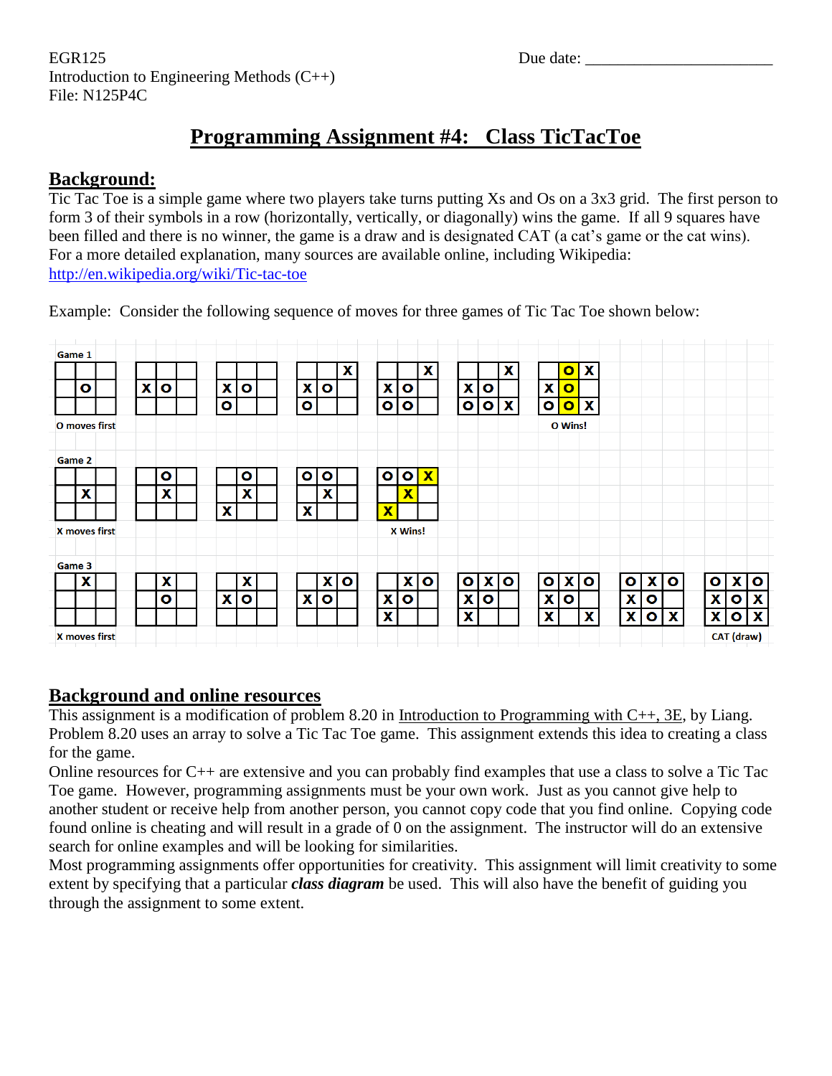EGR125 Due date: \_\_\_\_\_\_\_\_\_\_\_\_\_\_\_\_\_\_\_\_\_\_\_ Introduction to Engineering Methods (C++) File: N125P4C

# **Programming Assignment #4: Class TicTacToe**

### **Background:**

Tic Tac Toe is a simple game where two players take turns putting Xs and Os on a 3x3 grid. The first person to form 3 of their symbols in a row (horizontally, vertically, or diagonally) wins the game. If all 9 squares have been filled and there is no winner, the game is a draw and is designated CAT (a cat's game or the cat wins). For a more detailed explanation, many sources are available online, including Wikipedia: <http://en.wikipedia.org/wiki/Tic-tac-toe>

Example: Consider the following sequence of moves for three games of Tic Tac Toe shown below:

| Game 1 |                      |   |           |           |           |           |              |                           |                         |                         |                         |                           |              |              |                         |              |                           |              |           |              |           |            |                           |
|--------|----------------------|---|-----------|-----------|-----------|-----------|--------------|---------------------------|-------------------------|-------------------------|-------------------------|---------------------------|--------------|--------------|-------------------------|--------------|---------------------------|--------------|-----------|--------------|-----------|------------|---------------------------|
|        |                      |   |           |           |           |           |              | $\boldsymbol{\mathsf{X}}$ |                         |                         | X                       |                           |              | X            |                         | $\bullet$    | $\boldsymbol{\mathsf{x}}$ |              |           |              |           |            |                           |
| O      |                      | X | $\bullet$ | X         | o         | X         | o            |                           | X                       | $\mathbf{o}$            |                         | X                         | о            |              | X                       | $\mathbf{o}$ |                           |              |           |              |           |            |                           |
|        |                      |   |           | $\bullet$ |           | $\bullet$ |              |                           | $\bullet$               | $\bullet$               |                         | $\bullet$                 | $\bullet$    | $\mathbf{x}$ | $\bullet$               | $\bullet$    | $\boldsymbol{\mathsf{X}}$ |              |           |              |           |            |                           |
|        | O moves first        |   |           |           |           |           |              |                           |                         |                         |                         |                           |              |              |                         | O Wins!      |                           |              |           |              |           |            |                           |
| Game 2 |                      |   |           |           |           |           |              |                           |                         |                         |                         |                           |              |              |                         |              |                           |              |           |              |           |            |                           |
|        |                      |   | $\bullet$ |           | $\bullet$ | $\bullet$ | $\mathbf{o}$ |                           | $\mathbf{o}$            | <b>O</b>                | $\overline{\mathbf{X}}$ |                           |              |              |                         |              |                           |              |           |              |           |            |                           |
| X      |                      |   | X         |           | X         |           | X            |                           |                         | $\overline{\textbf{x}}$ |                         |                           |              |              |                         |              |                           |              |           |              |           |            |                           |
|        |                      |   |           | X         |           | X         |              |                           | $\overline{\textbf{x}}$ |                         |                         |                           |              |              |                         |              |                           |              |           |              |           |            |                           |
|        | <b>X</b> moves first |   |           |           |           |           |              |                           |                         | <b>X Wins!</b>          |                         |                           |              |              |                         |              |                           |              |           |              |           |            |                           |
| Game 3 |                      |   |           |           |           |           |              |                           |                         |                         |                         |                           |              |              |                         |              |                           |              |           |              |           |            |                           |
| X      |                      |   | X         |           | X         |           |              | x o                       |                         |                         | x o                     | $\bullet$                 | $\mathbf{x}$ | o            | $\bullet$               | Х            | $\bullet$                 | $\bullet$    | Х         | $\mathbf{o}$ | $\bullet$ | <b>X</b>   | $\mathbf{o}$              |
|        |                      |   | $\bullet$ | X         | $\bullet$ | X         | $\bullet$    |                           | $\mathbf{x}$            | $\bullet$               |                         | $\boldsymbol{\mathsf{x}}$ | O            |              | $\overline{\mathbf{x}}$ | $\mathbf{o}$ |                           | X            | $\bullet$ |              | X         | $\bullet$  | X                         |
|        |                      |   |           |           |           |           |              |                           | X                       |                         |                         | $\boldsymbol{\mathsf{x}}$ |              |              | $\mathbf x$             |              | X                         | $\mathbf{x}$ | $\bullet$ | $\mathbf{x}$ | X         | $\bullet$  | $\boldsymbol{\mathsf{x}}$ |
|        | <b>X</b> moves first |   |           |           |           |           |              |                           |                         |                         |                         |                           |              |              |                         |              |                           |              |           |              |           | CAT (draw) |                           |

### **Background and online resources**

This assignment is a modification of problem 8.20 in Introduction to Programming with C++, 3E, by Liang. Problem 8.20 uses an array to solve a Tic Tac Toe game. This assignment extends this idea to creating a class for the game.

Online resources for C++ are extensive and you can probably find examples that use a class to solve a Tic Tac Toe game. However, programming assignments must be your own work. Just as you cannot give help to another student or receive help from another person, you cannot copy code that you find online. Copying code found online is cheating and will result in a grade of 0 on the assignment. The instructor will do an extensive search for online examples and will be looking for similarities.

Most programming assignments offer opportunities for creativity. This assignment will limit creativity to some extent by specifying that a particular *class diagram* be used. This will also have the benefit of guiding you through the assignment to some extent.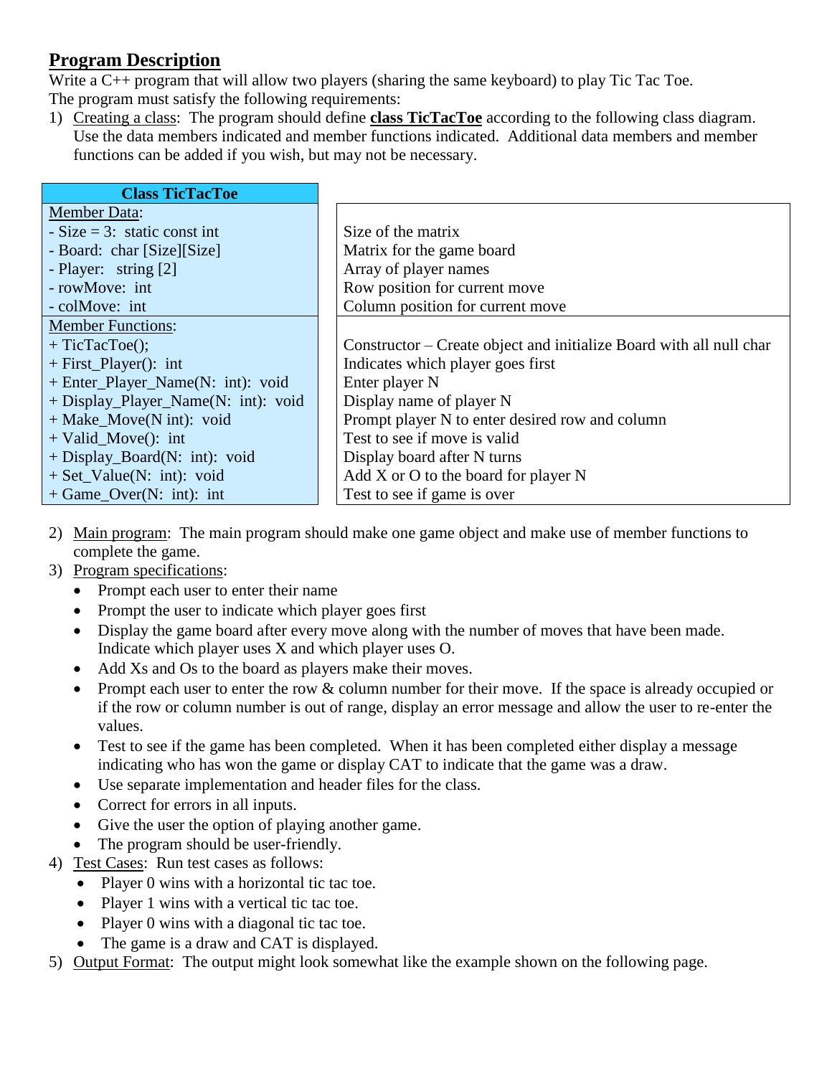# **Program Description**

Write a C++ program that will allow two players (sharing the same keyboard) to play Tic Tac Toe. The program must satisfy the following requirements:

1) Creating a class: The program should define **class TicTacToe** according to the following class diagram. Use the data members indicated and member functions indicated. Additional data members and member functions can be added if you wish, but may not be necessary.

| <b>Class TicTacToe</b>              |                                                                     |
|-------------------------------------|---------------------------------------------------------------------|
| <b>Member Data:</b>                 |                                                                     |
| $-Size = 3$ : static const int      | Size of the matrix                                                  |
| - Board: char [Size][Size]          | Matrix for the game board                                           |
| - Player: string [2]                | Array of player names                                               |
| - rowMove: int                      | Row position for current move                                       |
| - colMove: int                      | Column position for current move                                    |
| <b>Member Functions:</b>            |                                                                     |
| $+$ TicTacToe();                    | Constructor – Create object and initialize Board with all null char |
| $+$ First_Player(): int             | Indicates which player goes first                                   |
| + Enter_Player_Name(N: int): void   | Enter player N                                                      |
| + Display_Player_Name(N: int): void | Display name of player N                                            |
| $+$ Make_Move(N int): void          | Prompt player N to enter desired row and column                     |
| $+$ Valid_Move(): int               | Test to see if move is valid                                        |
| $+$ Display_Board(N: int): void     | Display board after N turns                                         |
| $+$ Set_Value(N: int): void         | Add X or O to the board for player N                                |
| $+$ Game_Over(N: int): int          | Test to see if game is over                                         |

- 2) Main program: The main program should make one game object and make use of member functions to complete the game.
- 3) Program specifications:
	- Prompt each user to enter their name
	- Prompt the user to indicate which player goes first
	- Display the game board after every move along with the number of moves that have been made. Indicate which player uses X and which player uses O.
	- Add Xs and Os to the board as players make their moves.
	- Prompt each user to enter the row & column number for their move. If the space is already occupied or if the row or column number is out of range, display an error message and allow the user to re-enter the values.
	- Test to see if the game has been completed. When it has been completed either display a message indicating who has won the game or display CAT to indicate that the game was a draw.
	- Use separate implementation and header files for the class.
	- Correct for errors in all inputs.
	- Give the user the option of playing another game.
	- The program should be user-friendly.
- 4) Test Cases: Run test cases as follows:
	- Player 0 wins with a horizontal tic tac toe.
	- Player 1 wins with a vertical tic tac toe.
	- Player 0 wins with a diagonal tic tac toe.
	- The game is a draw and CAT is displayed.
- 5) Output Format: The output might look somewhat like the example shown on the following page.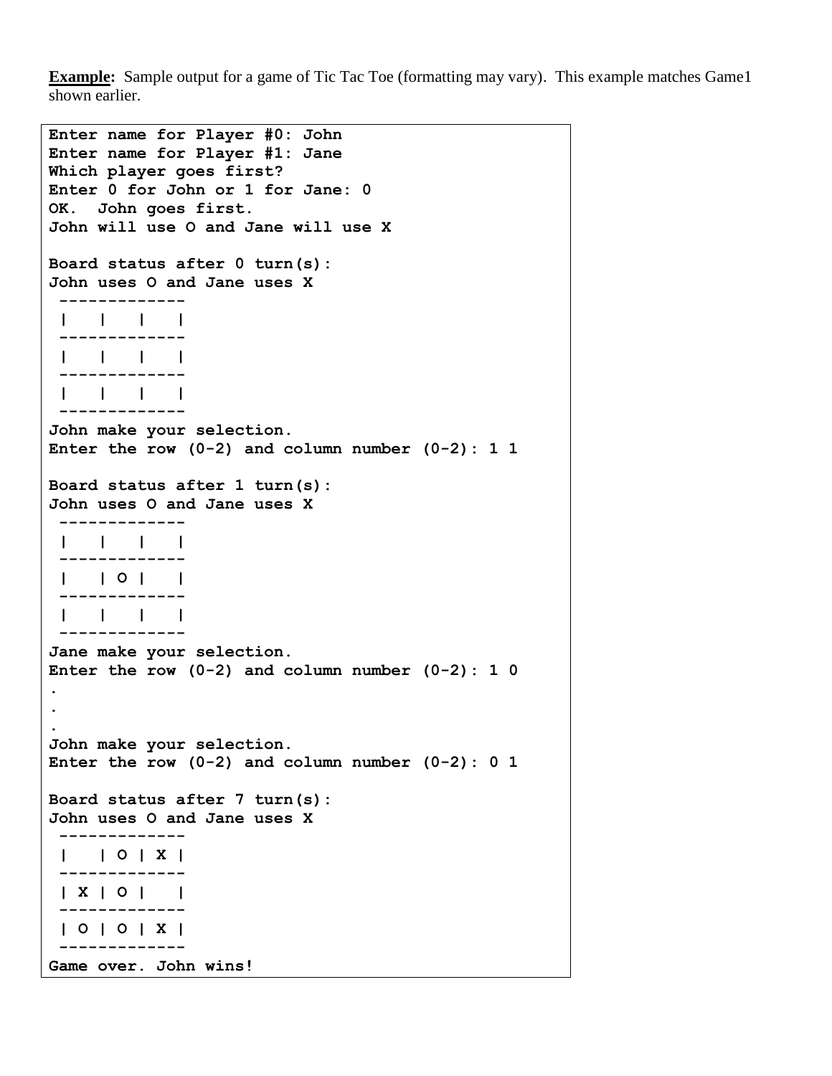**Example:** Sample output for a game of Tic Tac Toe (formatting may vary). This example matches Game1 shown earlier.

```
Enter name for Player #0: John
Enter name for Player #1: Jane
Which player goes first?
Enter 0 for John or 1 for Jane: 0
OK. John goes first.
John will use O and Jane will use X
Board status after 0 turn(s):
John uses O and Jane uses X
 -------------
 | | | |
 -------------
 | | | |
 -------------
 | | | |
 -------------
John make your selection.
Enter the row (0-2) and column number (0-2): 1 1
Board status after 1 turn(s):
John uses O and Jane uses X
 -------------
 | | | |
 -------------
 | | O | |
 -------------
 | | | |
 -------------
Jane make your selection.
Enter the row (0-2) and column number (0-2): 1 0
.
.
.
John make your selection.
Enter the row (0-2) and column number (0-2): 0 1
Board status after 7 turn(s):
John uses O and Jane uses X
 -------------
 | | O | X |
 -------------
 | X | O | |
 -------------
 | O | O | X |
 -------------
Game over. John wins!
```